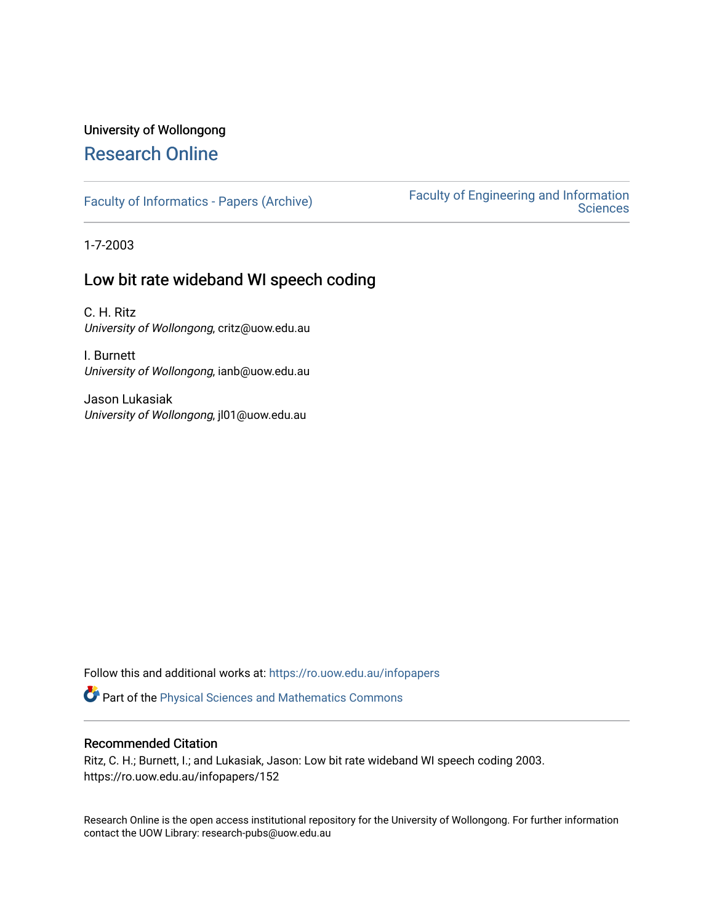# University of Wollongong

## [Research Online](https://ro.uow.edu.au/)

[Faculty of Informatics - Papers \(Archive\)](https://ro.uow.edu.au/infopapers) [Faculty of Engineering and Information](https://ro.uow.edu.au/eis)  **Sciences** 

1-7-2003

## Low bit rate wideband WI speech coding

C. H. Ritz University of Wollongong, critz@uow.edu.au

I. Burnett University of Wollongong, ianb@uow.edu.au

Jason Lukasiak University of Wollongong, jl01@uow.edu.au

Follow this and additional works at: [https://ro.uow.edu.au/infopapers](https://ro.uow.edu.au/infopapers?utm_source=ro.uow.edu.au%2Finfopapers%2F152&utm_medium=PDF&utm_campaign=PDFCoverPages)

Part of the [Physical Sciences and Mathematics Commons](http://network.bepress.com/hgg/discipline/114?utm_source=ro.uow.edu.au%2Finfopapers%2F152&utm_medium=PDF&utm_campaign=PDFCoverPages) 

### Recommended Citation

Ritz, C. H.; Burnett, I.; and Lukasiak, Jason: Low bit rate wideband WI speech coding 2003. https://ro.uow.edu.au/infopapers/152

Research Online is the open access institutional repository for the University of Wollongong. For further information contact the UOW Library: research-pubs@uow.edu.au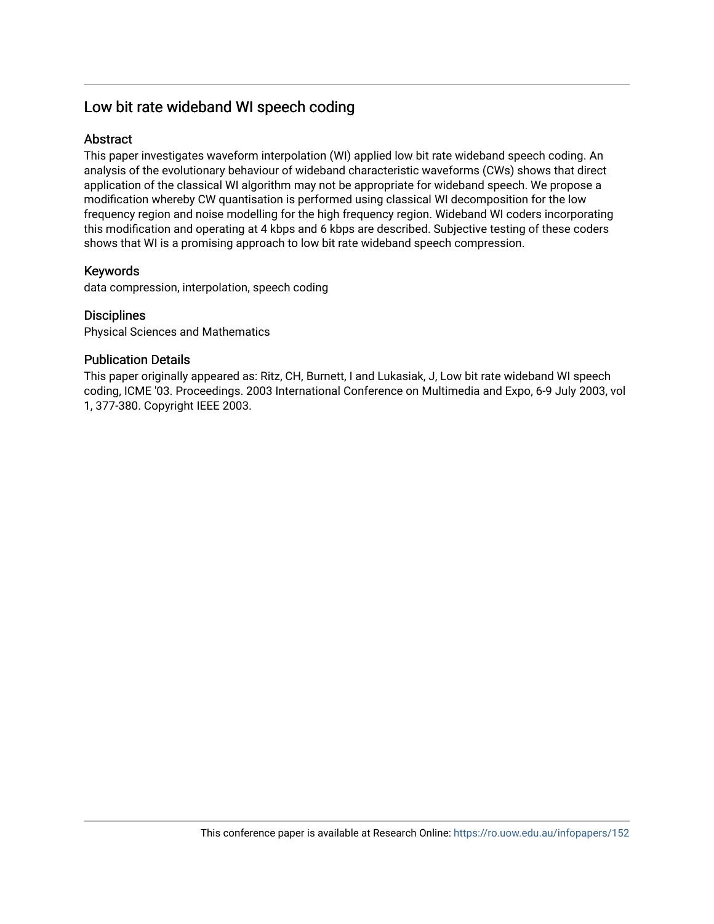## Low bit rate wideband WI speech coding

### **Abstract**

This paper investigates waveform interpolation (WI) applied low bit rate wideband speech coding. An analysis of the evolutionary behaviour of wideband characteristic waveforms (CWs) shows that direct application of the classical WI algorithm may not be appropriate for wideband speech. We propose a modification whereby CW quantisation is performed using classical WI decomposition for the low frequency region and noise modelling for the high frequency region. Wideband WI coders incorporating this modification and operating at 4 kbps and 6 kbps are described. Subjective testing of these coders shows that WI is a promising approach to low bit rate wideband speech compression.

## Keywords

data compression, interpolation, speech coding

## **Disciplines**

Physical Sciences and Mathematics

## Publication Details

This paper originally appeared as: Ritz, CH, Burnett, I and Lukasiak, J, Low bit rate wideband WI speech coding, ICME '03. Proceedings. 2003 International Conference on Multimedia and Expo, 6-9 July 2003, vol 1, 377-380. Copyright IEEE 2003.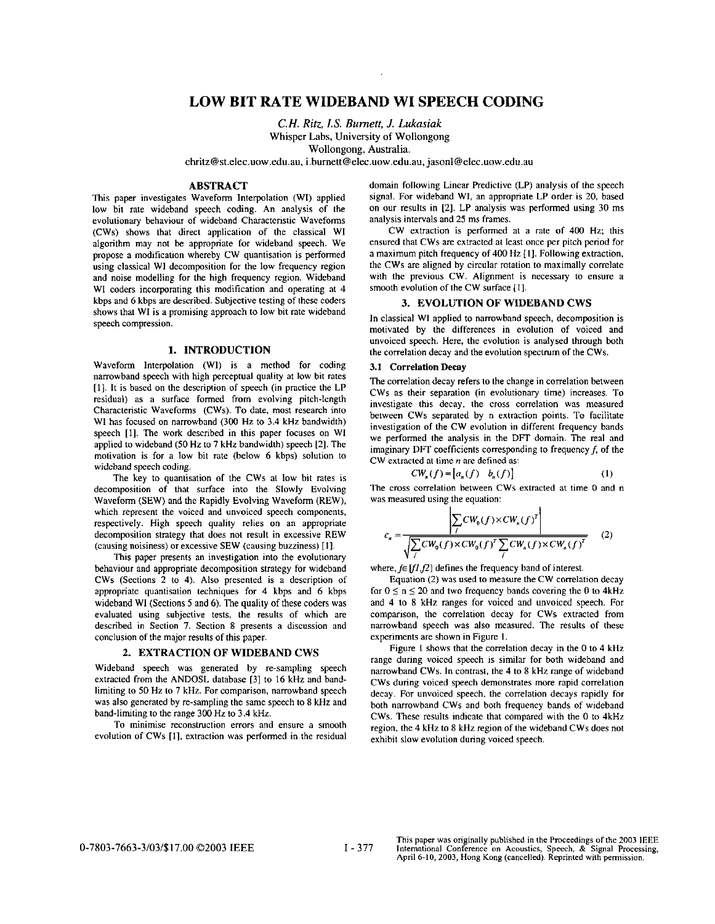### **LOW BIT RATE WIDEBAND WI SPEECH CODING**

*C.H. Riiz, IS. Bumeii, J. Lukasiak*  Whisper Labs, University of Wollongong Wollongong, Australia.

**chritz@st.elec.uow.edu.au, i.bumett@elec.uow.edu.au,** jasonl@elec.uow.edu.au

#### **ABSTRACT**

This paper investigates Waveform Interpolation (Wl) applied low bit rate wideband speech coding. An analysis of the evolutionary behaviour of wideband Characteristic Waveforms (CWs) shows that direct application of the classical WI algorithm may not be appropriate for wideband speech. We propose a modification whereby CW quantisation is performed using classical W1 decomposition for the low frequency region and noise modelling for the high frequency region. Wideband WI coders incorporating this modification and operating at 4 kbps and 6 kbps **are** described. Subjective testing of these coders shows that WI is a promising approach to low bit rate wideband speech compression.

#### **1. INTRODUCTION**

Waveform Interpolation (WI) is a method for coding narrowband speech with high perceptual quality at low bit rates [I]. It is based on the description of speech **(in** practice the LP residual) as a surface formed from evolving pitch-length Characteristic Waveforms (CWs). To date. most research into WI has focused on narrowband (300 Hz to 3.4 kHz bandwidth) speech [I]. The work described in this paper focuses on WI applied to wideband (50 **Hz** to 7 kHz bandwidth) speech [21. The motivation is for a low bit rate (below 6 kbps) solution to wideband speech coding.

The key to quantisation of the CWs at low bit rates is decomposition of that surface into the Slowly Evolving Waveform (SEW) and the Rapidly Evolving Waveform **(REW),**  which represent the voiced and unvoiced speech components, respectively. High speech quality relies on an appropriate decomposition strategy that does not result in excessive REW (causing noisiness) or excessive SEW (causing buzziness) [I].

This paper presents an investigation into the evolutionary behaviour and appropriate decomposition strategy for wideband CWs (Sections 2 to **4). Also** presented is a description of appropriate quantisation techniques for 4 kbps and 6 kbps wideband WI (Sections 5 and 6). The quality of these coders was evaluated using subjective tests, the results of which are described in Section 7. Section 8 presents a discussion and conclusion of the major results of this paper.

#### **2. EXTRACTION OF WIDEBAND CWS**

Wideband speech was generated by re-sampling speech extracted from the ANDOSL database [31 to **16** kHz and bandlimiting to 50 Hz to 7 kHz. For comparison, narrowband speech was also generated by re-sampling the same speech to 8 kHz and band-limiting to the range **300** Hz lo **3.4** kHr.

To minimise reconstruction errors and ensure a smooth evolution of CWs [I], extraction was performed in the residual domain following Linear Predictive (LP) analysis of the speech signal. For wideband **WI,** an appropriate LP order is 20, based on our results in [Z]. LP analysis was performed using **30** ms analysis intervals and *25* ms frames.

CW extraction is performed at a rate of **400** Hz; this ensured that CWs are extracted at least once per pitch period for a maximum pitch frequency of **400** Hz [I]. Following extraction, the CWs are aligned by circular rotation to maximally correlate with the previous CW. Alignment is necessary to ensure a smooth evolution of the CW surface [I].

#### **3. EVOLUTION OF WIDEBAND CWS**

In classical WI applied to narrowband speech, decomposition is motivated by the differences in evolution of voiced and unvoiced speech. Here, the evolution is analysed through both the correlation decay and the evolution spectrum of the CWs.

#### **3.1 Correlation Decay**

The correlation decay refers to the change in correlation between CWs as their separation (in evolutionary time) increases. To investigate this decay, the cross correlation was measured between CWs separated by n extraction points. To facilitate investigation of the CW evolution in different frequency bands we performed the analysis in the DFT domain. The real and imaginary DFT coefficients corresponding to frequency  $f$ , of the CW extracted at time *n* are defined as:

$$
CWn(f) = [an(f) bn(f)] \qquad (1)
$$

The cross correlation between CWs extracted at time 0 and n was measured using the equation:

$$
c_n = \frac{\left| \sum_{f} CW_0(f) \times CW_n(f)^T \right|}{\sqrt{\sum_{f} CW_0(f) \times CW_0(f)^T \sum_{f} CW_n(f) \times CW_n(f)^T}}
$$
(2)

where,  $f \in [f1,f2]$  defines the frequency band of interest.

Equation (2) was used to measure the CW correlation decay for  $0 \le n \le 20$  and two frequency bands covering the 0 to 4kHz and **4 to** 8 **IiHz** ranges for voiced and unvoiced speech. For comparison, the correlation decay for CWs extracted from narrowband speech was also measured. The results of these experiments are shown in [Figure](#page-3-0) **1.** 

[Figure](#page-3-0) 1 shows that the correlation decay in the 0 to 4 **kHe**  range during voiced speech is similar for both wideband and narrowband CWs. **In** contrast. the 4 to 8 kHz range of wideband CWs during voiced speech demonstrates more rapid correlation decay. For unvoiced speech, the correlation decays rapidly for both narrowband CWs and both frequency bands of wideband CWs. These results indicate that compared with the 0 to 4kHz region, the 4 **kHz** to 8 **kHe** region of the wideband CWs does not exhibit slow evolution during voiced speech.

**This** paper **was** originally published in the **Proceedings** of the **2003 IEEE lntemational** Conference **on Acoustics,** Speech, & Signal **Processing, April 6-10,2003, Hong** Kong (cancelled). Reprinted with permission.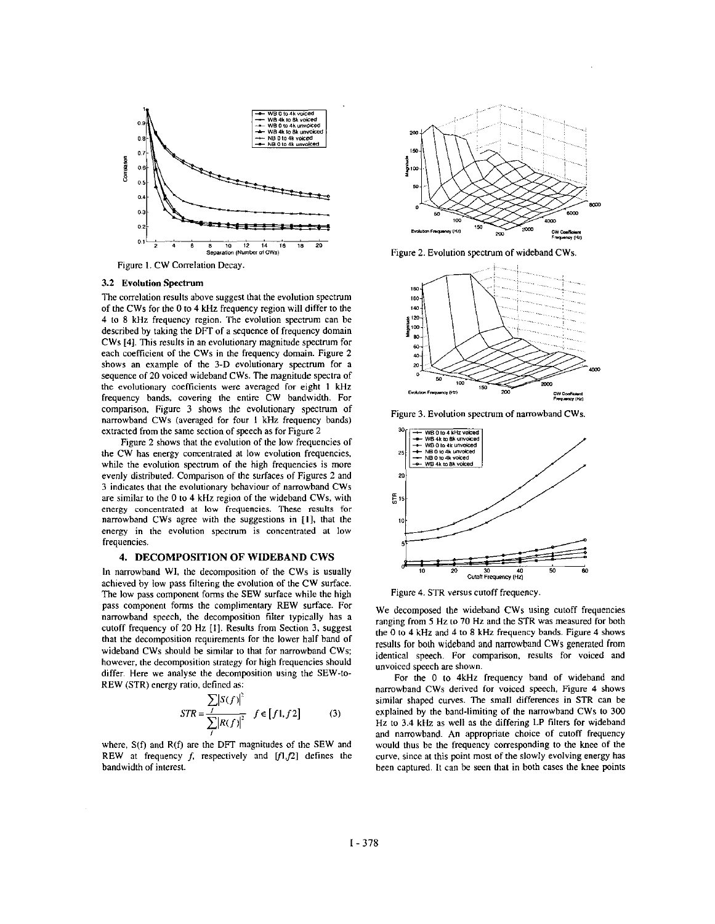<span id="page-3-0"></span>

Figure 1. CW Correlation Decay

#### **3.2** Evolution Spectrum

The correlation results above suggest that the evolution spectrum of the CWs for the 0 to **4 kHz** frequency region will differ to the **4** to 8 **kHz** frequency region. The evolution spectrum can be described by taking the DFT of a sequence of frequency domain CWs **141.** This results in an evolutionary magnitude spectrum for each coefficient of the CWs in the frequency domain. Figure *2*  shows an example of the 3-D evolutionary spectrum for a sequence of 20 voiced wideband CWs. The magnitude spectra of the evolutionary coefficients were averaged for eight 1 kHz frequency bands, covering the entire CW bandwidth. For comparison, Figure 3 shows the evolutionary spectrum of narrowband CWs (averaged for four I kHz frequency bands) extracted from the same section of speech as for Figure 2

Figure *2* shows that the evolution of the **low** frequencies of the CW has energy comentrated at low evolution frequencies, while the evolution spectrum of the high frequencies is more evenly distributed. Comparison of the surfaces of Figures 2 and 3 indicates that the evolutionary behaviour of narrowband CWs are similar to the 0 to **4** kHz region of the wideband CWs, with **energy** concentrated at **low** frequencies. **These** results for narrowband CWs agree with the suggestions in [I]. that the energy in the evolution spectrum is concentrated at **low**  frequencies.

#### **4. DECOMPOSITION OF WIDEBAND CWS**

In narrowband WI, the decomposition of the CWs is usually achieved by **low** pass filtering the evolution of the CW surface. The low pass component forms the SEW surface while the high pass component forms the complimentary REW surface. For narrowband speech, the decomposition filter typically has a cutoff frequency of 20 Hz [I]. Results from Section 3, suggest that the decomposition requirements for the lower half band of widehand CWs should be similar to that for narrowband CWs; however, the decomposition strategy for high frequencies should differ. Here we analyse the decomposition using the SEW-to-REW (STR) energy ratio, defined as:

$$
STR = \frac{\sum |S(f)|^2}{\sum_{i} |R(f)|^2} \quad f \in [f1, f2] \tag{3}
$$

where, **S(f)** and R(f) are the DFT magnitudes of the SEW and REW at frequency  $f$ , respectively and  $[f1,f2]$  defines the bandwidth of interest.



Figure 2. Evolution spectrum of wideband CWs.



Figure 3. Evolution spectrum of narrowband CWs.



Figure 4. STR versus cutoff frequency.

We decomposed the widehand CWs using cutoff frequencies ranging from *5* Hz to 70 Hz and the STR was measured for both the 0 to **4** kHz and **4** to 8 kHz frequency hands. Figure 4 shows results for both wideband and narrowband CWs generated from identical speech. For comparison, results for voiced and unvoiced speech are shown.

For the 0 to **4kHz** frequency band of wideband and narrowband CWs derived for voiced speech, Figure **4** shows similar shaped curves. The small differences in STR can be explained by the band-limiting of the narrowband CWs to 300 **Hz** to 3.4 kHz as well as the differing LP filters for wideband and narrowband. **An** appropriate choice of cutoff frequency would thus be the frequency corresponding to the knee of the curve. since at this point most of the slowly evolving energy has been captured. It can be **seen** that in both cases the knee points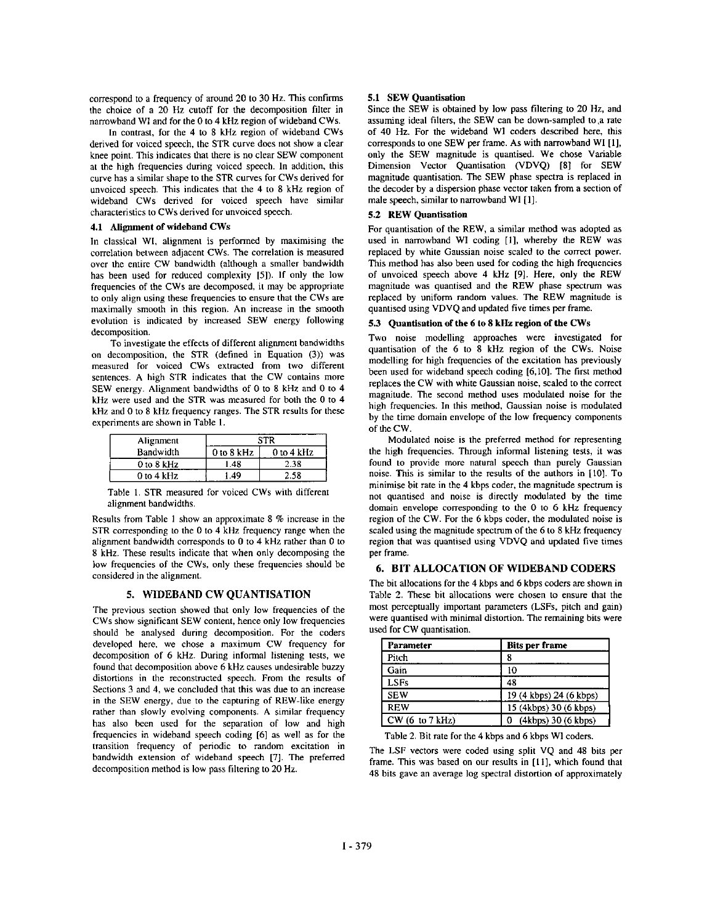correspond to a frequency of around 20 to 30 Hz. This confirms the choice of a 20 Hz cutoff for the decomposition filter in narrowband WI and for the 0 to 4 kHz region of wideband CWs.

In contrast, for the 4 to 8 kHz region of wideband CWs derived for voiced speech, the STR curve does not show a clear knee point. This indicates that there is no clear SEW component at the high frequencies during voiced speech. In addition, this curve has a similar shape to the STR curves for CWs derived for unvoiced speech. This indicates that the 4 to 8 kHz region of wideband CWs derived for voiced speech have similar characteristics to CWs derived for unvoiced speech.

#### 4.1 Alignment of wideband CWs

In classical WI, alignment is performed by maximising the correlation between adjacent CWs. The correlation is measured over the entire CW bandwidth (although a smaller bandwidth has been used for reduced complexity [5]). If only the low frequencies of the CWs are decomposed, it may be appropriate to only align using these frequencies to ensure that the CWs are maximally smooth in this region. An increase in the smooth evolution is indicated by increased SEW energy following decomposition.

To investigate the effects of different alignment bandwidths on decomposition, the STR (defined in Equation (3)) was measured for voiced CWs extracted from two different sentences. A high STR indicates that the CW contains more SEW energy. Alignment bandwidths of 0 to 8 kHz and 0 to 4 kHz were used and the STR was measured for both the 0 to 4 kHz and 0 to 8 kHz frequency ranges. The STR results for these experiments are shown in Table 1.

| Alignment  |            | STR        |  |  |
|------------|------------|------------|--|--|
| Bandwidth  | 0 to 8 kHz | 0 to 4 kHz |  |  |
| 0 to 8 kHz | 1.48       | 2.38       |  |  |
| 0 to 4 kHz | .49        | 2.58       |  |  |

Table 1. STR measured for voiced CWs with different alignment bandwidths.

Results from Table 1 show an approximate 8 % increase in the STR corresponding to the 0 to 4 kHz frequency range when the alignment bandwidth corresponds to 0 to 4 kHz rather than 0 to 8 kHz. These results indicate that when only decomposing the low frequencies of the CWs, only these frequencies should be considered in the alignment.

#### 5. WIDEBAND CW OUANTISATION

The previous section showed that only low frequencies of the CWs show significant SEW content, hence only low frequencies should be analysed during decomposition. For the coders developed here, we chose a maximum CW frequency for decomposition of 6 kHz. During informal listening tests, we found that decomposition above 6 kHz causes undesirable buzzy distortions in the reconstructed speech. From the results of Sections 3 and 4, we concluded that this was due to an increase in the SEW energy, due to the capturing of REW-like energy rather than slowly evolving components. A similar frequency has also been used for the separation of low and high frequencies in wideband speech coding [6] as well as for the transition frequency of periodic to random excitation in bandwidth extension of wideband speech [7]. The preferred decomposition method is low pass filtering to 20 Hz.

#### **5.1 SEW** Quantisation

Since the SEW is obtained by low **pass** filtering to 20 Hz, and assuming ideal filters. the SEW can be down-sampled to,a rate of **40** Hz. For the wideband WI coders described here, this corresponds to one SEW per frame. **As** with narrowband WI [I], only the SEW magnitude is quantised. We chose Variable Dimension Vector Quantisation (VDVQ) **[8]** for SEW magnitude quantisation. The SEW phase spectra is replaced in the decoder by a dispersion phase vector taken from a section of male speech, similar to narrowband WI **[I].** 

#### **5.2 REW** Qnantisation

For quantisation of the REW, a similar method was adopted as used in narrowband WI coding [I], whereby the REW was replaced by white Gaussian noise scaled to the correct power. This method has also been used for coding the high frequencies of unvoiced speech above 4 **kHz** *[9].* Here, only the REW magnitude was quantised and the REW phase spectrum was replaced by uniform random **values.** The REW magnitude is quantised using VDVQ and updated five times per frame.

#### **5.3** Quantisation of the 6 to *8* **kHz** region of the **CWs**

Two noise modelling approaches were investigated for quantisation of the 6 to **8 kHz** region of the CWs. Noise modelling for high frequencies of the excitation has previously been used for wideband speech coding [6,10]. The first method replaces the CW with white Gaussian noise, scaled to the correct magnitude. The second method uses modulated noise for the high frequencies. In this method, Gaussian noise is modulated by the time domain envelope of the low frequency components of the CW.

Modulated noise is the preferred method for representing the high frequencies. Through informal listening tests, it was found to provide more natural speech than purely Gaussian noise. This is similar to the results of the authors in **[IO].** To minimise bit rate in the **4** kbps coder, the magnitude spectrum is not quantised and noise is directly modulated by the time domain envelope corresponding to the 0 to 6 kHz frequency region of the CW. For the 6 kbps coder, the modulated noise is scaled using the magnitude spectrum of the 6 to *8 kHz* frequency region that was quantised using VDVQ and updated five times per frame.

#### **6. BIT ALLOCATION OF WIDEBAND CODERS**

The bit allocations for the 4 kbps and 6 kbps coders are shown in Table 2. These bit allocations were chosen to ensure that the most perceptually important parameters (LSFs, pitch and gain) were quantised with minimal distortion. The remaining bits were used for CW quantisation.

| Parameter       | <b>Bits per frame</b>   |  |
|-----------------|-------------------------|--|
| Pitch           |                         |  |
| Gain            | 10                      |  |
| <b>LSFs</b>     | 48                      |  |
| <b>SEW</b>      | 19 (4 kbps) 24 (6 kbps) |  |
| <b>REW</b>      | 15 (4kbps) 30 (6 kbps)  |  |
| CW (6 to 7 kHz) | (4kbps) 30 (6 kbps)     |  |

Table 2. Bit rate for the 4 kbps and 6 kbps **W1** coders.

The LSF vectors were coded using split VQ and 48 bits per frame. **This** was based on our results in **[Ill,** which found that 48 bits gave an average log spectral distortion of approximately